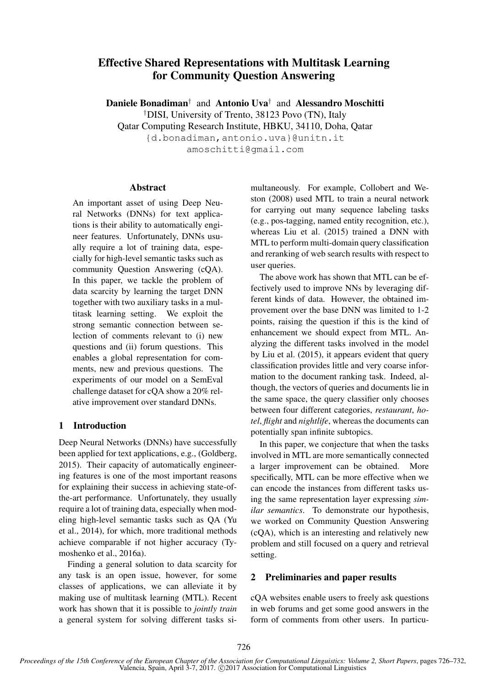# Effective Shared Representations with Multitask Learning for Community Question Answering

Daniele Bonadiman<sup>†</sup> and Antonio Uva<sup>†</sup> and Alessandro Moschitti †DISI, University of Trento, 38123 Povo (TN), Italy Qatar Computing Research Institute, HBKU, 34110, Doha, Qatar {d.bonadiman,antonio.uva}@unitn.it

amoschitti@gmail.com

### Abstract

An important asset of using Deep Neural Networks (DNNs) for text applications is their ability to automatically engineer features. Unfortunately, DNNs usually require a lot of training data, especially for high-level semantic tasks such as community Question Answering (cQA). In this paper, we tackle the problem of data scarcity by learning the target DNN together with two auxiliary tasks in a multitask learning setting. We exploit the strong semantic connection between selection of comments relevant to (i) new questions and (ii) forum questions. This enables a global representation for comments, new and previous questions. The experiments of our model on a SemEval challenge dataset for cQA show a 20% relative improvement over standard DNNs.

# 1 Introduction

Deep Neural Networks (DNNs) have successfully been applied for text applications, e.g., (Goldberg, 2015). Their capacity of automatically engineering features is one of the most important reasons for explaining their success in achieving state-ofthe-art performance. Unfortunately, they usually require a lot of training data, especially when modeling high-level semantic tasks such as QA (Yu et al., 2014), for which, more traditional methods achieve comparable if not higher accuracy (Tymoshenko et al., 2016a).

Finding a general solution to data scarcity for any task is an open issue, however, for some classes of applications, we can alleviate it by making use of multitask learning (MTL). Recent work has shown that it is possible to *jointly train* a general system for solving different tasks si-

multaneously. For example, Collobert and Weston (2008) used MTL to train a neural network for carrying out many sequence labeling tasks (e.g., pos-tagging, named entity recognition, etc.), whereas Liu et al. (2015) trained a DNN with MTL to perform multi-domain query classification and reranking of web search results with respect to user queries.

The above work has shown that MTL can be effectively used to improve NNs by leveraging different kinds of data. However, the obtained improvement over the base DNN was limited to 1-2 points, raising the question if this is the kind of enhancement we should expect from MTL. Analyzing the different tasks involved in the model by Liu et al. (2015), it appears evident that query classification provides little and very coarse information to the document ranking task. Indeed, although, the vectors of queries and documents lie in the same space, the query classifier only chooses between four different categories, *restaurant*, *hotel*, *flight* and *nightlife*, whereas the documents can potentially span infinite subtopics.

In this paper, we conjecture that when the tasks involved in MTL are more semantically connected a larger improvement can be obtained. More specifically, MTL can be more effective when we can encode the instances from different tasks using the same representation layer expressing *similar semantics*. To demonstrate our hypothesis, we worked on Community Question Answering (cQA), which is an interesting and relatively new problem and still focused on a query and retrieval setting.

# 2 Preliminaries and paper results

cQA websites enable users to freely ask questions in web forums and get some good answers in the form of comments from other users. In particu-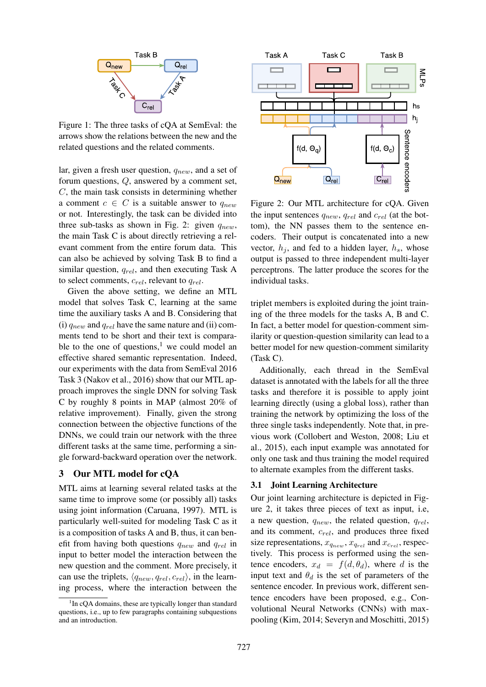

Figure 1: The three tasks of cQA at SemEval: the arrows show the relations between the new and the related questions and the related comments.

lar, given a fresh user question,  $q_{new}$ , and a set of forum questions, Q, answered by a comment set,  $C$ , the main task consists in determining whether a comment  $c \in C$  is a suitable answer to  $q_{new}$ or not. Interestingly, the task can be divided into three sub-tasks as shown in Fig. 2: given  $q_{new}$ , the main Task C is about directly retrieving a relevant comment from the entire forum data. This can also be achieved by solving Task B to find a similar question,  $q_{rel}$ , and then executing Task A to select comments,  $c_{rel}$ , relevant to  $q_{rel}$ .

Given the above setting, we define an MTL model that solves Task C, learning at the same time the auxiliary tasks A and B. Considering that (i)  $q_{new}$  and  $q_{rel}$  have the same nature and (ii) comments tend to be short and their text is comparable to the one of questions, $\frac{1}{1}$  we could model an effective shared semantic representation. Indeed, our experiments with the data from SemEval 2016 Task 3 (Nakov et al., 2016) show that our MTL approach improves the single DNN for solving Task C by roughly 8 points in MAP (almost 20% of relative improvement). Finally, given the strong connection between the objective functions of the DNNs, we could train our network with the three different tasks at the same time, performing a single forward-backward operation over the network.

# 3 Our MTL model for cQA

MTL aims at learning several related tasks at the same time to improve some (or possibly all) tasks using joint information (Caruana, 1997). MTL is particularly well-suited for modeling Task C as it is a composition of tasks A and B, thus, it can benefit from having both questions  $q_{new}$  and  $q_{rel}$  in input to better model the interaction between the new question and the comment. More precisely, it can use the triplets,  $\langle q_{new}, q_{rel}, c_{rel} \rangle$ , in the learning process, where the interaction between the



Figure 2: Our MTL architecture for cQA. Given the input sentences  $q_{new}$ ,  $q_{rel}$  and  $c_{rel}$  (at the bottom), the NN passes them to the sentence encoders. Their output is concatenated into a new vector,  $h_i$ , and fed to a hidden layer,  $h_s$ , whose output is passed to three independent multi-layer perceptrons. The latter produce the scores for the individual tasks.

triplet members is exploited during the joint training of the three models for the tasks A, B and C. In fact, a better model for question-comment similarity or question-question similarity can lead to a better model for new question-comment similarity (Task C).

Additionally, each thread in the SemEval dataset is annotated with the labels for all the three tasks and therefore it is possible to apply joint learning directly (using a global loss), rather than training the network by optimizing the loss of the three single tasks independently. Note that, in previous work (Collobert and Weston, 2008; Liu et al., 2015), each input example was annotated for only one task and thus training the model required to alternate examples from the different tasks.

# 3.1 Joint Learning Architecture

Our joint learning architecture is depicted in Figure 2, it takes three pieces of text as input, i.e, a new question,  $q_{new}$ , the related question,  $q_{rel}$ , and its comment,  $c_{rel}$ , and produces three fixed size representations,  $x_{q_{new}}$ ,  $x_{q_{rel}}$  and  $x_{c_{rel}}$ , respectively. This process is performed using the sentence encoders,  $x_d = f(d, \theta_d)$ , where d is the input text and  $\theta_d$  is the set of parameters of the sentence encoder. In previous work, different sentence encoders have been proposed, e.g., Convolutional Neural Networks (CNNs) with maxpooling (Kim, 2014; Severyn and Moschitti, 2015)

<sup>&</sup>lt;sup>1</sup>In cQA domains, these are typically longer than standard questions, i.e., up to few paragraphs containing subquestions and an introduction.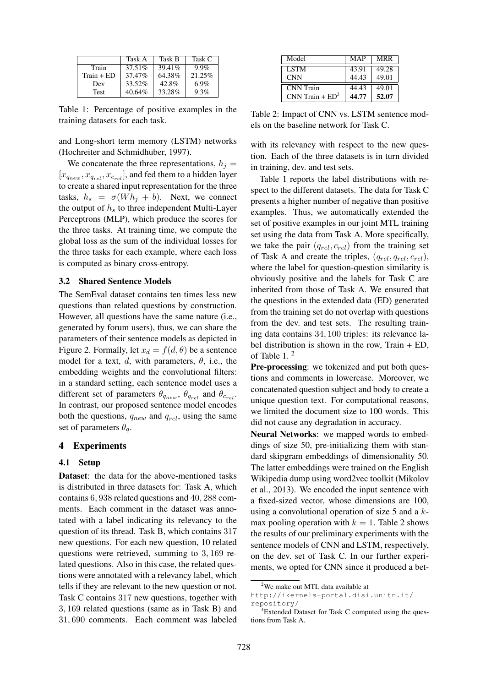|              | Task A    | Task B | Task C  |
|--------------|-----------|--------|---------|
| Train        | 37.51%    | 39.41% | $9.9\%$ |
| $Train + ED$ | $37.47\%$ | 64.38% | 21.25%  |
| Dev          | 33.52%    | 42.8%  | $6.9\%$ |
| <b>Test</b>  | 40.64%    | 33.28% | 9.3%    |

Table 1: Percentage of positive examples in the training datasets for each task.

and Long-short term memory (LSTM) networks (Hochreiter and Schmidhuber, 1997).

We concatenate the three representations,  $h_i =$  $[x_{q_{new}}, x_{q_{rel}}, x_{c_{rel}}]$ , and fed them to a hidden layer to create a shared input representation for the three tasks,  $h_s = \sigma(W h_j + b)$ . Next, we connect the output of  $h<sub>s</sub>$  to three independent Multi-Layer Perceptrons (MLP), which produce the scores for the three tasks. At training time, we compute the global loss as the sum of the individual losses for the three tasks for each example, where each loss is computed as binary cross-entropy.

### 3.2 Shared Sentence Models

The SemEval dataset contains ten times less new questions than related questions by construction. However, all questions have the same nature (i.e., generated by forum users), thus, we can share the parameters of their sentence models as depicted in Figure 2. Formally, let  $x_d = f(d, \theta)$  be a sentence model for a text, d, with parameters,  $\theta$ , i.e., the embedding weights and the convolutional filters: in a standard setting, each sentence model uses a different set of parameters  $\theta_{q_{new}}$ ,  $\theta_{q_{rel}}$  and  $\theta_{c_{rel}}$ . In contrast, our proposed sentence model encodes both the questions,  $q_{new}$  and  $q_{rel}$ , using the same set of parameters  $\theta_q$ .

#### 4 Experiments

#### 4.1 Setup

Dataset: the data for the above-mentioned tasks is distributed in three datasets for: Task A, which contains 6, 938 related questions and 40, 288 comments. Each comment in the dataset was annotated with a label indicating its relevancy to the question of its thread. Task B, which contains 317 new questions. For each new question, 10 related questions were retrieved, summing to 3, 169 related questions. Also in this case, the related questions were annotated with a relevancy label, which tells if they are relevant to the new question or not. Task C contains 317 new questions, together with 3, 169 related questions (same as in Task B) and 31, 690 comments. Each comment was labeled

| Model             | MAP   | MRR   |  |
|-------------------|-------|-------|--|
| <b>LSTM</b>       | 43.91 | 49.28 |  |
| <b>CNN</b>        | 44.43 | 49.01 |  |
| CNN Train         | 44.43 | 49.01 |  |
| $CNN Train + ED3$ | 44.77 | 52.07 |  |

Table 2: Impact of CNN vs. LSTM sentence models on the baseline network for Task C.

with its relevancy with respect to the new question. Each of the three datasets is in turn divided in training, dev. and test sets.

Table 1 reports the label distributions with respect to the different datasets. The data for Task C presents a higher number of negative than positive examples. Thus, we automatically extended the set of positive examples in our joint MTL training set using the data from Task A. More specifically, we take the pair  $(q_{rel}, c_{rel})$  from the training set of Task A and create the triples,  $(q_{rel}, q_{rel}, c_{rel})$ , where the label for question-question similarity is obviously positive and the labels for Task C are inherited from those of Task A. We ensured that the questions in the extended data (ED) generated from the training set do not overlap with questions from the dev. and test sets. The resulting training data contains 34, 100 triples: its relevance label distribution is shown in the row, Train + ED, of Table 1. <sup>2</sup>

Pre-processing: we tokenized and put both questions and comments in lowercase. Moreover, we concatenated question subject and body to create a unique question text. For computational reasons, we limited the document size to 100 words. This did not cause any degradation in accuracy.

Neural Networks: we mapped words to embeddings of size 50, pre-initializing them with standard skipgram embeddings of dimensionality 50. The latter embeddings were trained on the English Wikipedia dump using word2vec toolkit (Mikolov et al., 2013). We encoded the input sentence with a fixed-sized vector, whose dimensions are 100, using a convolutional operation of size  $5$  and a  $k$ max pooling operation with  $k = 1$ . Table 2 shows the results of our preliminary experiments with the sentence models of CNN and LSTM, respectively, on the dev. set of Task C. In our further experiments, we opted for CNN since it produced a bet-

<sup>&</sup>lt;sup>2</sup>We make out MTL data available at

http://ikernels-portal.disi.unitn.it/ repository/

<sup>&</sup>lt;sup>3</sup>Extended Dataset for Task C computed using the questions from Task A.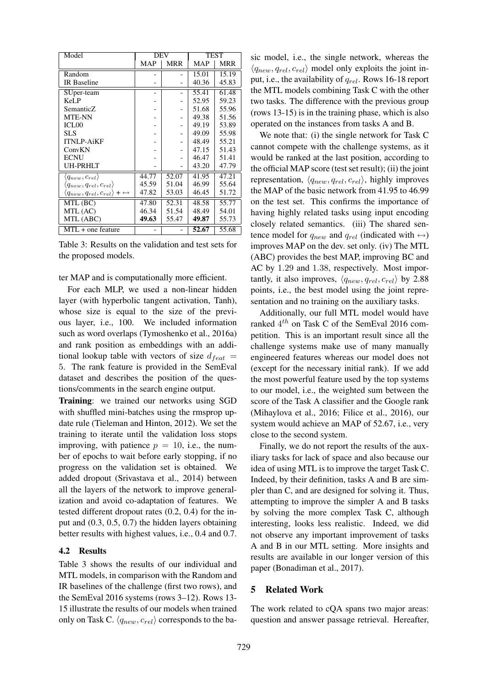| Model                                                         | <b>DEV</b> |            | <b>TEST</b> |       |
|---------------------------------------------------------------|------------|------------|-------------|-------|
|                                                               | <b>MAP</b> | <b>MRR</b> | <b>MAP</b>  | MRR   |
| Random                                                        |            |            | 15.01       | 15.19 |
| <b>IR</b> Baseline                                            |            |            | 40.36       | 45.83 |
| SUper-team                                                    |            |            | 55.41       | 61.48 |
| KeLP                                                          |            |            | 52.95       | 59.23 |
| SemanticZ                                                     |            |            | 51.68       | 55.96 |
| <b>MTE-NN</b>                                                 |            |            | 49.38       | 51.56 |
| ICL <sub>00</sub>                                             |            |            | 49.19       | 53.89 |
| <b>SLS</b>                                                    |            |            | 49.09       | 55.98 |
| <b>ITNLP-AiKF</b>                                             |            |            | 48.49       | 55.21 |
| ConvKN                                                        |            |            | 47.15       | 51.43 |
| <b>ECNU</b>                                                   |            |            | 46.47       | 51.41 |
| <b>UH-PRHLT</b>                                               |            |            | 43.20       | 47.79 |
| $\langle q_{new}, c_{rel} \rangle$                            | 44.77      | 52.07      | 41.95       | 47.21 |
| $\langle q_{new}, q_{rel}, c_{rel} \rangle$                   | 45.59      | 51.04      | 46.99       | 55.64 |
| $\langle q_{new}, q_{rel}, c_{rel} \rangle + \leftrightarrow$ | 47.82      | 53.03      | 46.45       | 51.72 |
| MTL (BC)                                                      | 47.80      | 52.31      | 48.58       | 55.77 |
| MTL (AC)                                                      | 46.34      | 51.54      | 48.49       | 54.01 |
| MTL (ABC)                                                     | 49.63      | 55.47      | 49.87       | 55.73 |
| $MTL$ + one feature                                           |            |            | 52.67       | 55.68 |

Table 3: Results on the validation and test sets for the proposed models.

ter MAP and is computationally more efficient.

For each MLP, we used a non-linear hidden layer (with hyperbolic tangent activation, Tanh), whose size is equal to the size of the previous layer, i.e., 100. We included information such as word overlaps (Tymoshenko et al., 2016a) and rank position as embeddings with an additional lookup table with vectors of size  $d_{feat}$  = 5. The rank feature is provided in the SemEval dataset and describes the position of the questions/comments in the search engine output.

Training: we trained our networks using SGD with shuffled mini-batches using the rmsprop update rule (Tieleman and Hinton, 2012). We set the training to iterate until the validation loss stops improving, with patience  $p = 10$ , i.e., the number of epochs to wait before early stopping, if no progress on the validation set is obtained. We added dropout (Srivastava et al., 2014) between all the layers of the network to improve generalization and avoid co-adaptation of features. We tested different dropout rates (0.2, 0.4) for the input and (0.3, 0.5, 0.7) the hidden layers obtaining better results with highest values, i.e., 0.4 and 0.7.

# 4.2 Results

Table 3 shows the results of our individual and MTL models, in comparison with the Random and IR baselines of the challenge (first two rows), and the SemEval 2016 systems (rows 3–12). Rows 13- 15 illustrate the results of our models when trained only on Task C.  $\langle q_{new}, c_{rel} \rangle$  corresponds to the basic model, i.e., the single network, whereas the  $\langle q_{new}, q_{rel}, c_{rel} \rangle$  model only exploits the joint input, i.e., the availability of  $q_{rel}$ . Rows 16-18 report the MTL models combining Task C with the other two tasks. The difference with the previous group (rows 13-15) is in the training phase, which is also operated on the instances from tasks A and B.

We note that: (i) the single network for Task C cannot compete with the challenge systems, as it would be ranked at the last position, according to the official MAP score (test set result); (ii) the joint representation,  $\langle q_{new}, q_{rel}, c_{rel} \rangle$ , highly improves the MAP of the basic network from 41.95 to 46.99 on the test set. This confirms the importance of having highly related tasks using input encoding closely related semantics. (iii) The shared sentence model for  $q_{new}$  and  $q_{rel}$  (indicated with  $\leftrightarrow$ ) improves MAP on the dev. set only. (iv) The MTL (ABC) provides the best MAP, improving BC and AC by 1.29 and 1.38, respectively. Most importantly, it also improves,  $\langle q_{new}, q_{rel}, c_{rel} \rangle$  by 2.88 points, i.e., the best model using the joint representation and no training on the auxiliary tasks.

Additionally, our full MTL model would have ranked  $4^{th}$  on Task C of the SemEval 2016 competition. This is an important result since all the challenge systems make use of many manually engineered features whereas our model does not (except for the necessary initial rank). If we add the most powerful feature used by the top systems to our model, i.e., the weighted sum between the score of the Task A classifier and the Google rank (Mihaylova et al., 2016; Filice et al., 2016), our system would achieve an MAP of 52.67, i.e., very close to the second system.

Finally, we do not report the results of the auxiliary tasks for lack of space and also because our idea of using MTL is to improve the target Task C. Indeed, by their definition, tasks A and B are simpler than C, and are designed for solving it. Thus, attempting to improve the simpler A and B tasks by solving the more complex Task C, although interesting, looks less realistic. Indeed, we did not observe any important improvement of tasks A and B in our MTL setting. More insights and results are available in our longer version of this paper (Bonadiman et al., 2017).

# 5 Related Work

The work related to cQA spans two major areas: question and answer passage retrieval. Hereafter,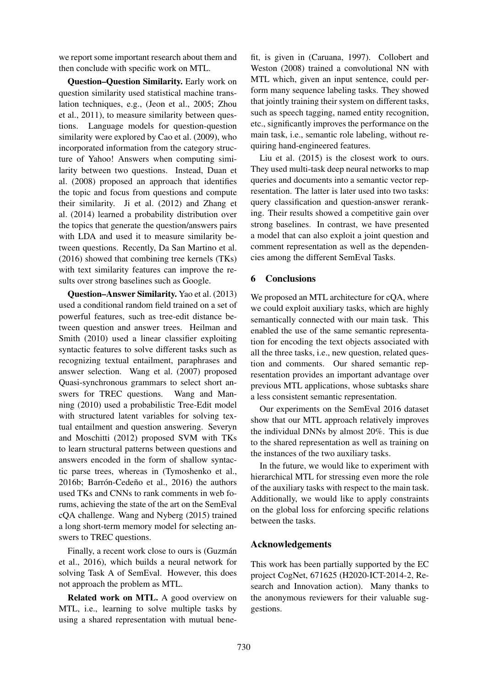we report some important research about them and then conclude with specific work on MTL.

Question–Question Similarity. Early work on question similarity used statistical machine translation techniques, e.g., (Jeon et al., 2005; Zhou et al., 2011), to measure similarity between questions. Language models for question-question similarity were explored by Cao et al. (2009), who incorporated information from the category structure of Yahoo! Answers when computing similarity between two questions. Instead, Duan et al. (2008) proposed an approach that identifies the topic and focus from questions and compute their similarity. Ji et al. (2012) and Zhang et al. (2014) learned a probability distribution over the topics that generate the question/answers pairs with LDA and used it to measure similarity between questions. Recently, Da San Martino et al. (2016) showed that combining tree kernels (TKs) with text similarity features can improve the results over strong baselines such as Google.

Question–Answer Similarity. Yao et al. (2013) used a conditional random field trained on a set of powerful features, such as tree-edit distance between question and answer trees. Heilman and Smith (2010) used a linear classifier exploiting syntactic features to solve different tasks such as recognizing textual entailment, paraphrases and answer selection. Wang et al. (2007) proposed Quasi-synchronous grammars to select short answers for TREC questions. Wang and Manning (2010) used a probabilistic Tree-Edit model with structured latent variables for solving textual entailment and question answering. Severyn and Moschitti (2012) proposed SVM with TKs to learn structural patterns between questions and answers encoded in the form of shallow syntactic parse trees, whereas in (Tymoshenko et al.,  $2016b$ ; Barrón-Cedeño et al.,  $2016$ ) the authors used TKs and CNNs to rank comments in web forums, achieving the state of the art on the SemEval cQA challenge. Wang and Nyberg (2015) trained a long short-term memory model for selecting answers to TREC questions.

Finally, a recent work close to ours is (Guzmán et al., 2016), which builds a neural network for solving Task A of SemEval. However, this does not approach the problem as MTL.

Related work on MTL. A good overview on MTL, i.e., learning to solve multiple tasks by using a shared representation with mutual bene-

fit, is given in (Caruana, 1997). Collobert and Weston (2008) trained a convolutional NN with MTL which, given an input sentence, could perform many sequence labeling tasks. They showed that jointly training their system on different tasks, such as speech tagging, named entity recognition, etc., significantly improves the performance on the main task, i.e., semantic role labeling, without requiring hand-engineered features.

Liu et al. (2015) is the closest work to ours. They used multi-task deep neural networks to map queries and documents into a semantic vector representation. The latter is later used into two tasks: query classification and question-answer reranking. Their results showed a competitive gain over strong baselines. In contrast, we have presented a model that can also exploit a joint question and comment representation as well as the dependencies among the different SemEval Tasks.

# 6 Conclusions

We proposed an MTL architecture for cQA, where we could exploit auxiliary tasks, which are highly semantically connected with our main task. This enabled the use of the same semantic representation for encoding the text objects associated with all the three tasks, i.e., new question, related question and comments. Our shared semantic representation provides an important advantage over previous MTL applications, whose subtasks share a less consistent semantic representation.

Our experiments on the SemEval 2016 dataset show that our MTL approach relatively improves the individual DNNs by almost 20%. This is due to the shared representation as well as training on the instances of the two auxiliary tasks.

In the future, we would like to experiment with hierarchical MTL for stressing even more the role of the auxiliary tasks with respect to the main task. Additionally, we would like to apply constraints on the global loss for enforcing specific relations between the tasks.

# Acknowledgements

This work has been partially supported by the EC project CogNet, 671625 (H2020-ICT-2014-2, Research and Innovation action). Many thanks to the anonymous reviewers for their valuable suggestions.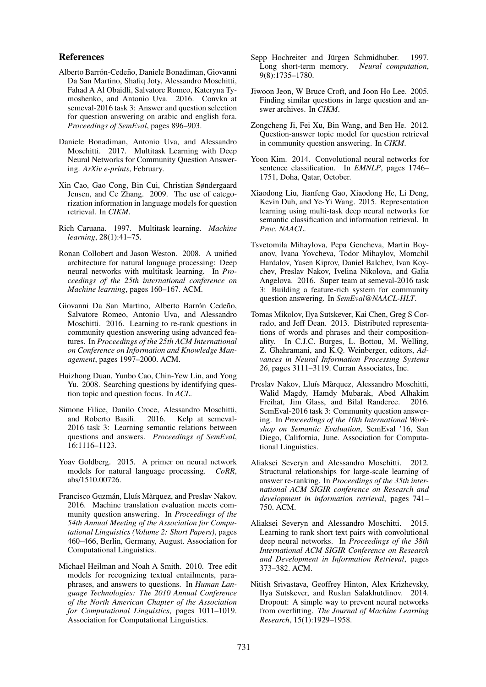## References

- Alberto Barrón-Cedeño, Daniele Bonadiman, Giovanni Da San Martino, Shafiq Joty, Alessandro Moschitti, Fahad A Al Obaidli, Salvatore Romeo, Kateryna Tymoshenko, and Antonio Uva. 2016. Convkn at semeval-2016 task 3: Answer and question selection for question answering on arabic and english fora. *Proceedings of SemEval*, pages 896–903.
- Daniele Bonadiman, Antonio Uva, and Alessandro Moschitti. 2017. Multitask Learning with Deep Neural Networks for Community Question Answering. *ArXiv e-prints*, February.
- Xin Cao, Gao Cong, Bin Cui, Christian Søndergaard Jensen, and Ce Zhang. 2009. The use of categorization information in language models for question retrieval. In *CIKM*.
- Rich Caruana. 1997. Multitask learning. *Machine learning*, 28(1):41–75.
- Ronan Collobert and Jason Weston. 2008. A unified architecture for natural language processing: Deep neural networks with multitask learning. In *Proceedings of the 25th international conference on Machine learning*, pages 160–167. ACM.
- Giovanni Da San Martino, Alberto Barrón Cedeño, Salvatore Romeo, Antonio Uva, and Alessandro Moschitti. 2016. Learning to re-rank questions in community question answering using advanced features. In *Proceedings of the 25th ACM International on Conference on Information and Knowledge Management*, pages 1997–2000. ACM.
- Huizhong Duan, Yunbo Cao, Chin-Yew Lin, and Yong Yu. 2008. Searching questions by identifying question topic and question focus. In *ACL*.
- Simone Filice, Danilo Croce, Alessandro Moschitti, and Roberto Basili. 2016. Kelp at semeval-2016 task 3: Learning semantic relations between questions and answers. *Proceedings of SemEval*, 16:1116–1123.
- Yoav Goldberg. 2015. A primer on neural network models for natural language processing. *CoRR*, abs/1510.00726.
- Francisco Guzmán, Lluís Màrquez, and Preslav Nakov. 2016. Machine translation evaluation meets community question answering. In *Proceedings of the 54th Annual Meeting of the Association for Computational Linguistics (Volume 2: Short Papers)*, pages 460–466, Berlin, Germany, August. Association for Computational Linguistics.
- Michael Heilman and Noah A Smith. 2010. Tree edit models for recognizing textual entailments, paraphrases, and answers to questions. In *Human Language Technologies: The 2010 Annual Conference of the North American Chapter of the Association for Computational Linguistics*, pages 1011–1019. Association for Computational Linguistics.
- Sepp Hochreiter and Jürgen Schmidhuber. 1997. Long short-term memory. *Neural computation*, 9(8):1735–1780.
- Jiwoon Jeon, W Bruce Croft, and Joon Ho Lee. 2005. Finding similar questions in large question and answer archives. In *CIKM*.
- Zongcheng Ji, Fei Xu, Bin Wang, and Ben He. 2012. Question-answer topic model for question retrieval in community question answering. In *CIKM*.
- Yoon Kim. 2014. Convolutional neural networks for sentence classification. In *EMNLP*, pages 1746– 1751, Doha, Qatar, October.
- Xiaodong Liu, Jianfeng Gao, Xiaodong He, Li Deng, Kevin Duh, and Ye-Yi Wang. 2015. Representation learning using multi-task deep neural networks for semantic classification and information retrieval. In *Proc. NAACL*.
- Tsvetomila Mihaylova, Pepa Gencheva, Martin Boyanov, Ivana Yovcheva, Todor Mihaylov, Momchil Hardalov, Yasen Kiprov, Daniel Balchev, Ivan Koychev, Preslav Nakov, Ivelina Nikolova, and Galia Angelova. 2016. Super team at semeval-2016 task 3: Building a feature-rich system for community question answering. In *SemEval@NAACL-HLT*.
- Tomas Mikolov, Ilya Sutskever, Kai Chen, Greg S Corrado, and Jeff Dean. 2013. Distributed representations of words and phrases and their compositionality. In C.J.C. Burges, L. Bottou, M. Welling, Z. Ghahramani, and K.Q. Weinberger, editors, *Advances in Neural Information Processing Systems 26*, pages 3111–3119. Curran Associates, Inc.
- Preslav Nakov, Lluís Màrquez, Alessandro Moschitti, Walid Magdy, Hamdy Mubarak, Abed Alhakim Freihat, Jim Glass, and Bilal Randeree. 2016. SemEval-2016 task 3: Community question answering. In *Proceedings of the 10th International Workshop on Semantic Evaluation*, SemEval '16, San Diego, California, June. Association for Computational Linguistics.
- Aliaksei Severyn and Alessandro Moschitti. 2012. Structural relationships for large-scale learning of answer re-ranking. In *Proceedings of the 35th international ACM SIGIR conference on Research and development in information retrieval*, pages 741– 750. ACM.
- Aliaksei Severyn and Alessandro Moschitti. 2015. Learning to rank short text pairs with convolutional deep neural networks. In *Proceedings of the 38th International ACM SIGIR Conference on Research and Development in Information Retrieval*, pages 373–382. ACM.
- Nitish Srivastava, Geoffrey Hinton, Alex Krizhevsky, Ilya Sutskever, and Ruslan Salakhutdinov. 2014. Dropout: A simple way to prevent neural networks from overfitting. *The Journal of Machine Learning Research*, 15(1):1929–1958.